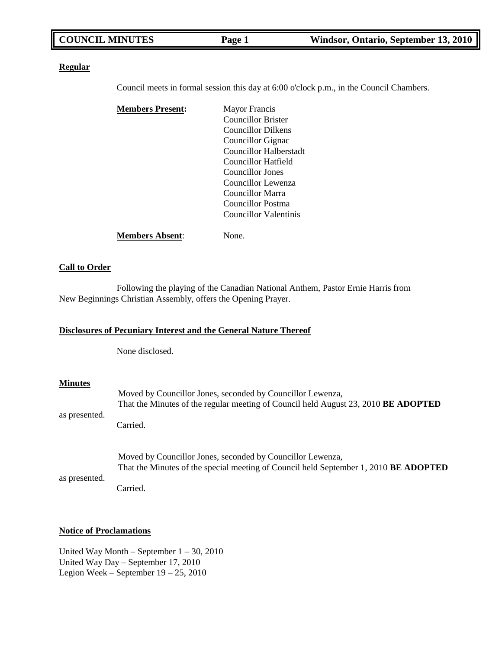# **Regular**

Council meets in formal session this day at 6:00 o'clock p.m., in the Council Chambers.

| <b>Members Present:</b> | Mayor Francis             |
|-------------------------|---------------------------|
|                         | <b>Councillor Brister</b> |
|                         | Councillor Dilkens        |
|                         | Councillor Gignac         |
|                         | Councillor Halberstadt    |
|                         | Councillor Hatfield       |
|                         | Councillor Jones          |
|                         | Councillor Lewenza        |
|                         | Councillor Marra          |
|                         | Councillor Postma         |
|                         | Councillor Valentinis     |
| <b>Members Absent:</b>  | None.                     |

# **Call to Order**

Following the playing of the Canadian National Anthem, Pastor Ernie Harris from New Beginnings Christian Assembly, offers the Opening Prayer.

# **Disclosures of Pecuniary Interest and the General Nature Thereof**

None disclosed.

# **Minutes**

|               | Moved by Councillor Jones, seconded by Councillor Lewenza,<br>That the Minutes of the regular meeting of Council held August 23, 2010 <b>BE ADOPTED</b>   |
|---------------|-----------------------------------------------------------------------------------------------------------------------------------------------------------|
| as presented. | Carried.                                                                                                                                                  |
|               | Moved by Councillor Jones, seconded by Councillor Lewenza,<br>That the Minutes of the special meeting of Council held September 1, 2010 <b>BE ADOPTED</b> |
| as presented. | Carried.                                                                                                                                                  |

## **Notice of Proclamations**

United Way Month – September 1 – 30, 2010 United Way Day – September 17, 2010 Legion Week – September 19 – 25, 2010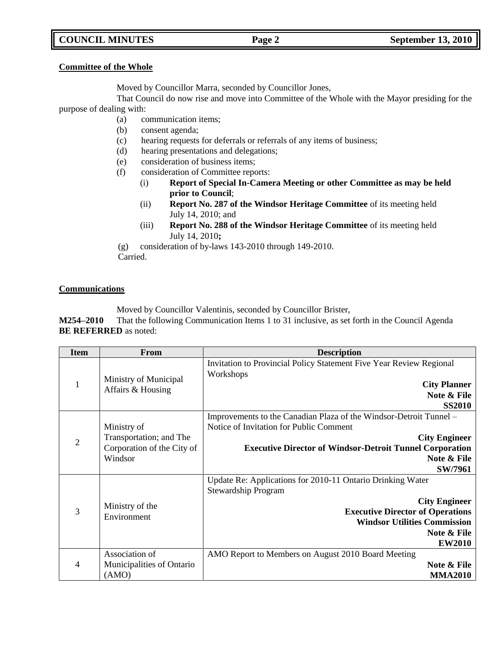# **COUNCIL MINUTES Page 2 September 13, 2010**

### **Committee of the Whole**

Moved by Councillor Marra, seconded by Councillor Jones,

That Council do now rise and move into Committee of the Whole with the Mayor presiding for the purpose of dealing with:

- (a) communication items;
- (b) consent agenda;
- (c) hearing requests for deferrals or referrals of any items of business;
- (d) hearing presentations and delegations;
- (e) consideration of business items;
- (f) consideration of Committee reports:
	- (i) **Report of Special In-Camera Meeting or other Committee as may be held prior to Council**;
	- (ii) **Report No. 287 of the Windsor Heritage Committee** of its meeting held July 14, 2010; and
	- (iii) **Report No. 288 of the Windsor Heritage Committee** of its meeting held July 14, 2010**;**

(g) consideration of by-laws 143-2010 through 149-2010. Carried.

### **Communications**

Moved by Councillor Valentinis, seconded by Councillor Brister,

**M254–2010** That the following Communication Items 1 to 31 inclusive, as set forth in the Council Agenda **BE REFERRED** as noted:

| <b>Item</b>    | From                                                                            | <b>Description</b>                                                                                                                                                                                                                 |
|----------------|---------------------------------------------------------------------------------|------------------------------------------------------------------------------------------------------------------------------------------------------------------------------------------------------------------------------------|
| 1              | Ministry of Municipal<br>Affairs & Housing                                      | Invitation to Provincial Policy Statement Five Year Review Regional<br>Workshops<br><b>City Planner</b><br>Note & File<br><b>SS2010</b>                                                                                            |
| $\overline{2}$ | Ministry of<br>Transportation; and The<br>Corporation of the City of<br>Windsor | Improvements to the Canadian Plaza of the Windsor-Detroit Tunnel –<br>Notice of Invitation for Public Comment<br><b>City Engineer</b><br><b>Executive Director of Windsor-Detroit Tunnel Corporation</b><br>Note & File<br>SW/7961 |
| 3              | Ministry of the<br>Environment                                                  | Update Re: Applications for 2010-11 Ontario Drinking Water<br>Stewardship Program<br><b>City Engineer</b><br><b>Executive Director of Operations</b><br><b>Windsor Utilities Commission</b><br>Note & File<br><b>EW2010</b>        |
| 4              | Association of<br>Municipalities of Ontario<br>(AMO)                            | AMO Report to Members on August 2010 Board Meeting<br>Note & File<br><b>MMA2010</b>                                                                                                                                                |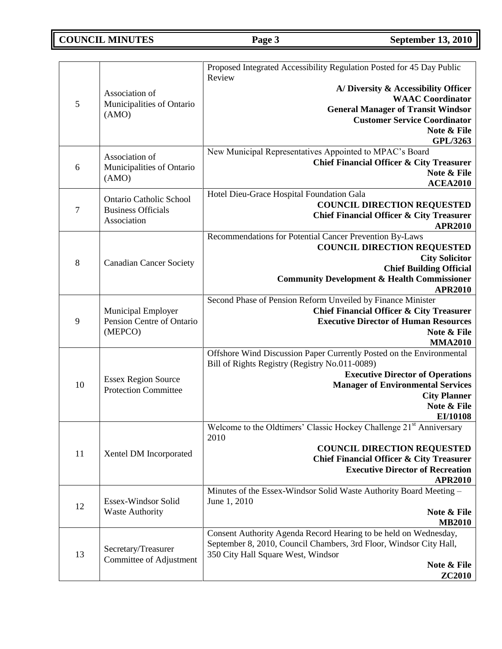# **COUNCIL MINUTES Page 3 September 13, 2010**

|        |                                                | Proposed Integrated Accessibility Regulation Posted for 45 Day Public                   |
|--------|------------------------------------------------|-----------------------------------------------------------------------------------------|
|        |                                                | Review                                                                                  |
|        | Association of                                 | A/Diversity & Accessibility Officer<br><b>WAAC</b> Coordinator                          |
| 5      | Municipalities of Ontario                      | <b>General Manager of Transit Windsor</b>                                               |
|        | (AMO)                                          | <b>Customer Service Coordinator</b>                                                     |
|        |                                                | Note & File                                                                             |
|        |                                                | GPL/3263                                                                                |
|        | Association of                                 | New Municipal Representatives Appointed to MPAC's Board                                 |
| 6      | Municipalities of Ontario                      | <b>Chief Financial Officer &amp; City Treasurer</b>                                     |
|        | (AMO)                                          | Note & File                                                                             |
|        |                                                | <b>ACEA2010</b><br>Hotel Dieu-Grace Hospital Foundation Gala                            |
|        | <b>Ontario Catholic School</b>                 | <b>COUNCIL DIRECTION REQUESTED</b>                                                      |
| $\tau$ | <b>Business Officials</b>                      | <b>Chief Financial Officer &amp; City Treasurer</b>                                     |
|        | Association                                    | <b>APR2010</b>                                                                          |
|        |                                                | Recommendations for Potential Cancer Prevention By-Laws                                 |
|        |                                                | <b>COUNCIL DIRECTION REQUESTED</b>                                                      |
| 8      | <b>Canadian Cancer Society</b>                 | <b>City Solicitor</b>                                                                   |
|        |                                                | <b>Chief Building Official</b>                                                          |
|        |                                                | <b>Community Development &amp; Health Commissioner</b><br><b>APR2010</b>                |
|        |                                                | Second Phase of Pension Reform Unveiled by Finance Minister                             |
|        | Municipal Employer                             | <b>Chief Financial Officer &amp; City Treasurer</b>                                     |
| 9      | Pension Centre of Ontario                      | <b>Executive Director of Human Resources</b>                                            |
|        | (MEPCO)                                        | Note & File                                                                             |
|        |                                                | <b>MMA2010</b>                                                                          |
|        |                                                | Offshore Wind Discussion Paper Currently Posted on the Environmental                    |
|        |                                                | Bill of Rights Registry (Registry No.011-0089)                                          |
| 10     | <b>Essex Region Source</b>                     | <b>Executive Director of Operations</b><br><b>Manager of Environmental Services</b>     |
|        | <b>Protection Committee</b>                    | <b>City Planner</b>                                                                     |
|        |                                                | Note & File                                                                             |
|        |                                                | EI/10108                                                                                |
|        |                                                | Welcome to the Oldtimers' Classic Hockey Challenge 21 <sup>st</sup> Anniversary<br>2010 |
|        |                                                | <b>COUNCIL DIRECTION REQUESTED</b>                                                      |
| 11     | Xentel DM Incorporated                         | <b>Chief Financial Officer &amp; City Treasurer</b>                                     |
|        |                                                | <b>Executive Director of Recreation</b>                                                 |
|        |                                                | <b>APR2010</b>                                                                          |
|        |                                                | Minutes of the Essex-Windsor Solid Waste Authority Board Meeting -                      |
| 12     | Essex-Windsor Solid<br><b>Waste Authority</b>  | June 1, 2010<br>Note & File                                                             |
|        |                                                | <b>MB2010</b>                                                                           |
|        |                                                | Consent Authority Agenda Record Hearing to be held on Wednesday,                        |
|        |                                                | September 8, 2010, Council Chambers, 3rd Floor, Windsor City Hall,                      |
| 13     | Secretary/Treasurer<br>Committee of Adjustment | 350 City Hall Square West, Windsor                                                      |
|        |                                                | Note & File                                                                             |
|        |                                                | <b>ZC2010</b>                                                                           |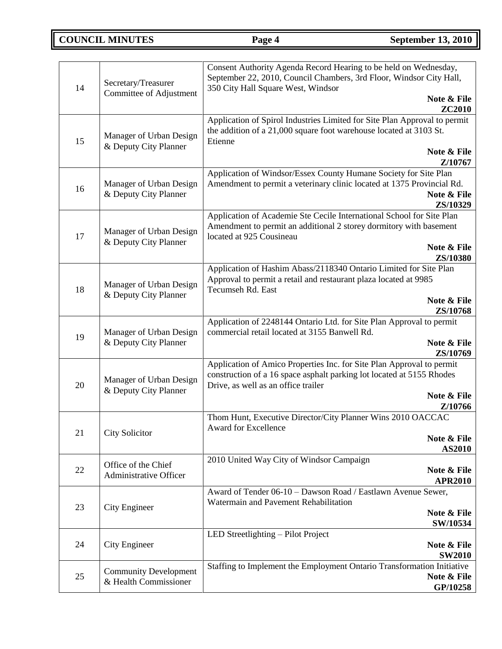# **COUNCIL MINUTES Page 4 September 13, 2010**

| 14 | Secretary/Treasurer                              | Consent Authority Agenda Record Hearing to be held on Wednesday,<br>September 22, 2010, Council Chambers, 3rd Floor, Windsor City Hall,<br>350 City Hall Square West, Windsor |
|----|--------------------------------------------------|-------------------------------------------------------------------------------------------------------------------------------------------------------------------------------|
|    | Committee of Adjustment                          | Note & File<br><b>ZC2010</b>                                                                                                                                                  |
| 15 | Manager of Urban Design<br>& Deputy City Planner | Application of Spirol Industries Limited for Site Plan Approval to permit<br>the addition of a 21,000 square foot warehouse located at 3103 St.<br>Etienne<br>Note & File     |
|    |                                                  | Z/10767                                                                                                                                                                       |
| 16 | Manager of Urban Design<br>& Deputy City Planner | Application of Windsor/Essex County Humane Society for Site Plan<br>Amendment to permit a veterinary clinic located at 1375 Provincial Rd.<br>Note & File<br>ZS/10329         |
|    |                                                  | Application of Academie Ste Cecile International School for Site Plan                                                                                                         |
| 17 | Manager of Urban Design                          | Amendment to permit an additional 2 storey dormitory with basement<br>located at 925 Cousineau                                                                                |
|    | & Deputy City Planner                            | Note & File<br>ZS/10380                                                                                                                                                       |
|    |                                                  | Application of Hashim Abass/2118340 Ontario Limited for Site Plan                                                                                                             |
| 18 | Manager of Urban Design                          | Approval to permit a retail and restaurant plaza located at 9985<br>Tecumseh Rd. East                                                                                         |
|    | & Deputy City Planner                            | Note & File<br>ZS/10768                                                                                                                                                       |
|    |                                                  | Application of 2248144 Ontario Ltd. for Site Plan Approval to permit                                                                                                          |
| 19 | Manager of Urban Design<br>& Deputy City Planner | commercial retail located at 3155 Banwell Rd.<br>Note & File                                                                                                                  |
|    |                                                  | ZS/10769<br>Application of Amico Properties Inc. for Site Plan Approval to permit                                                                                             |
| 20 | Manager of Urban Design                          | construction of a 16 space asphalt parking lot located at 5155 Rhodes<br>Drive, as well as an office trailer                                                                  |
|    | & Deputy City Planner                            | Note & File                                                                                                                                                                   |
|    |                                                  | Z/10766<br>Thom Hunt, Executive Director/City Planner Wins 2010 OACCAC                                                                                                        |
| 21 | <b>City Solicitor</b>                            | Award for Excellence<br>Note & File                                                                                                                                           |
|    |                                                  | <b>AS2010</b>                                                                                                                                                                 |
| 22 | Office of the Chief<br>Administrative Officer    | 2010 United Way City of Windsor Campaign<br>Note & File                                                                                                                       |
|    |                                                  | <b>APR2010</b><br>Award of Tender 06-10 - Dawson Road / Eastlawn Avenue Sewer,                                                                                                |
| 23 | City Engineer                                    | Watermain and Pavement Rehabilitation                                                                                                                                         |
|    |                                                  | Note & File<br>SW/10534                                                                                                                                                       |
|    |                                                  | LED Streetlighting - Pilot Project                                                                                                                                            |
| 24 | City Engineer                                    | Note & File<br><b>SW2010</b>                                                                                                                                                  |
| 25 | <b>Community Development</b>                     | Staffing to Implement the Employment Ontario Transformation Initiative<br>Note & File                                                                                         |
|    | & Health Commissioner                            | GP/10258                                                                                                                                                                      |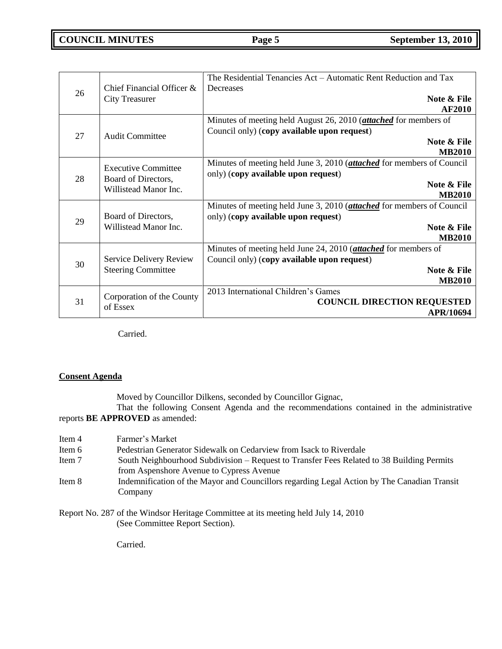| 26 | Chief Financial Officer &<br><b>City Treasurer</b>                         | The Residential Tenancies Act – Automatic Rent Reduction and Tax<br>Decreases<br>Note & File<br><b>AF2010</b>                                         |
|----|----------------------------------------------------------------------------|-------------------------------------------------------------------------------------------------------------------------------------------------------|
| 27 | <b>Audit Committee</b>                                                     | Minutes of meeting held August 26, 2010 (attached for members of<br>Council only) (copy available upon request)<br>Note & File<br><b>MB2010</b>       |
| 28 | <b>Executive Committee</b><br>Board of Directors,<br>Willistead Manor Inc. | Minutes of meeting held June 3, 2010 ( <i>attached</i> for members of Council<br>only) (copy available upon request)<br>Note & File<br><b>MB2010</b>  |
| 29 | Board of Directors,<br>Willistead Manor Inc.                               | Minutes of meeting held June 3, 2010 (attached for members of Council<br>only) (copy available upon request)<br>Note & File<br><b>MB2010</b>          |
| 30 | Service Delivery Review<br><b>Steering Committee</b>                       | Minutes of meeting held June 24, 2010 ( <i>attached</i> for members of<br>Council only) (copy available upon request)<br>Note & File<br><b>MB2010</b> |
| 31 | Corporation of the County<br>of Essex                                      | 2013 International Children's Games<br><b>COUNCIL DIRECTION REQUESTED</b><br><b>APR/10694</b>                                                         |

Carried.

# **Consent Agenda**

Moved by Councillor Dilkens, seconded by Councillor Gignac,

That the following Consent Agenda and the recommendations contained in the administrative reports **BE APPROVED** as amended:

| Item 4 | Farmer's Market                                                                             |
|--------|---------------------------------------------------------------------------------------------|
| Item 6 | Pedestrian Generator Sidewalk on Cedarview from Isack to Riverdale                          |
| Item 7 | South Neighbourhood Subdivision – Request to Transfer Fees Related to 38 Building Permits   |
|        | from Aspenshore Avenue to Cypress Avenue                                                    |
| Item 8 | Indemnification of the Mayor and Councillors regarding Legal Action by The Canadian Transit |
|        | Company                                                                                     |

Report No. 287 of the Windsor Heritage Committee at its meeting held July 14, 2010 (See Committee Report Section).

Carried.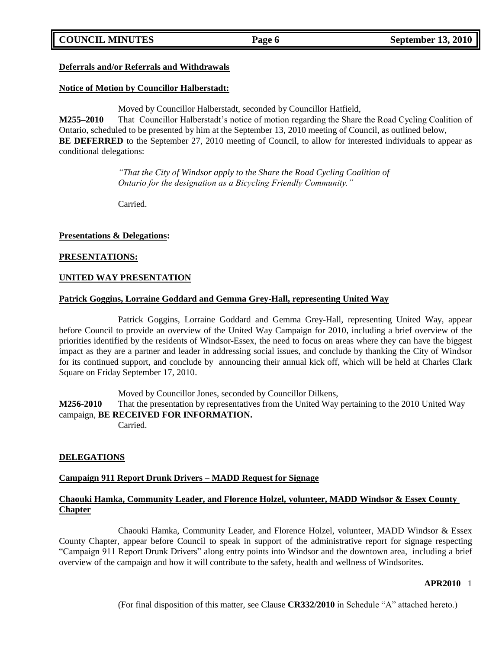# **COUNCIL MINUTES Page 6 September 13, 2010**

## **Deferrals and/or Referrals and Withdrawals**

## **Notice of Motion by Councillor Halberstadt:**

Moved by Councillor Halberstadt, seconded by Councillor Hatfield,

**M255–2010** That Councillor Halberstadt's notice of motion regarding the Share the Road Cycling Coalition of Ontario, scheduled to be presented by him at the September 13, 2010 meeting of Council, as outlined below, **BE DEFERRED** to the September 27, 2010 meeting of Council, to allow for interested individuals to appear as conditional delegations:

> *"That the City of Windsor apply to the Share the Road Cycling Coalition of Ontario for the designation as a Bicycling Friendly Community."*

Carried.

#### **Presentations & Delegations:**

#### **PRESENTATIONS:**

#### **UNITED WAY PRESENTATION**

#### **Patrick Goggins, Lorraine Goddard and Gemma Grey-Hall, representing United Way**

Patrick Goggins, Lorraine Goddard and Gemma Grey-Hall, representing United Way, appear before Council to provide an overview of the United Way Campaign for 2010, including a brief overview of the priorities identified by the residents of Windsor-Essex, the need to focus on areas where they can have the biggest impact as they are a partner and leader in addressing social issues, and conclude by thanking the City of Windsor for its continued support, and conclude by announcing their annual kick off, which will be held at Charles Clark Square on Friday September 17, 2010.

Moved by Councillor Jones, seconded by Councillor Dilkens,

**M256-2010** That the presentation by representatives from the United Way pertaining to the 2010 United Way campaign, **BE RECEIVED FOR INFORMATION.**

Carried.

# **DELEGATIONS**

#### **Campaign 911 Report Drunk Drivers – MADD Request for Signage**

# **Chaouki Hamka, Community Leader, and Florence Holzel, volunteer, MADD Windsor & Essex County Chapter**

Chaouki Hamka, Community Leader, and Florence Holzel, volunteer, MADD Windsor & Essex County Chapter, appear before Council to speak in support of the administrative report for signage respecting "Campaign 911 Report Drunk Drivers" along entry points into Windsor and the downtown area, including a brief overview of the campaign and how it will contribute to the safety, health and wellness of Windsorites.

#### **APR2010** 1

(For final disposition of this matter, see Clause **CR332/2010** in Schedule "A" attached hereto.)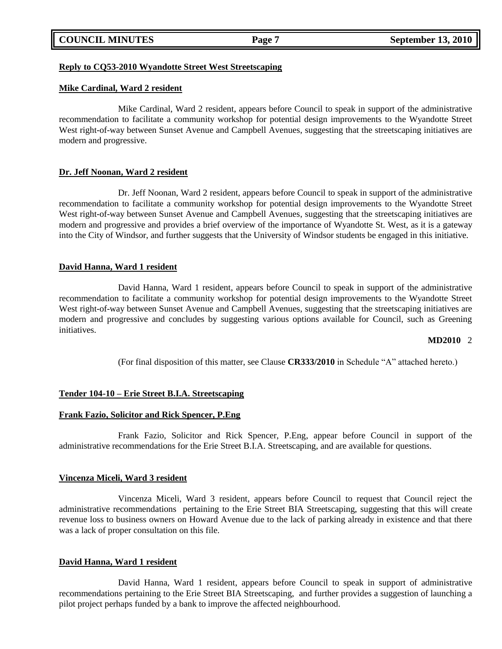|  | <b>COUNCIL MINUTES</b> |
|--|------------------------|
|--|------------------------|

### **Reply to CQ53-2010 Wyandotte Street West Streetscaping**

### **Mike Cardinal, Ward 2 resident**

Mike Cardinal, Ward 2 resident, appears before Council to speak in support of the administrative recommendation to facilitate a community workshop for potential design improvements to the Wyandotte Street West right-of-way between Sunset Avenue and Campbell Avenues, suggesting that the streetscaping initiatives are modern and progressive.

## **Dr. Jeff Noonan, Ward 2 resident**

Dr. Jeff Noonan, Ward 2 resident, appears before Council to speak in support of the administrative recommendation to facilitate a community workshop for potential design improvements to the Wyandotte Street West right-of-way between Sunset Avenue and Campbell Avenues, suggesting that the streetscaping initiatives are modern and progressive and provides a brief overview of the importance of Wyandotte St. West, as it is a gateway into the City of Windsor, and further suggests that the University of Windsor students be engaged in this initiative.

## **David Hanna, Ward 1 resident**

David Hanna, Ward 1 resident, appears before Council to speak in support of the administrative recommendation to facilitate a community workshop for potential design improvements to the Wyandotte Street West right-of-way between Sunset Avenue and Campbell Avenues, suggesting that the streetscaping initiatives are modern and progressive and concludes by suggesting various options available for Council, such as Greening initiatives.

#### **MD2010** 2

(For final disposition of this matter, see Clause **CR333/2010** in Schedule "A" attached hereto.)

# **Tender 104-10 – Erie Street B.I.A. Streetscaping**

#### **Frank Fazio, Solicitor and Rick Spencer, P.Eng**

Frank Fazio, Solicitor and Rick Spencer, P.Eng, appear before Council in support of the administrative recommendations for the Erie Street B.I.A. Streetscaping, and are available for questions.

# **Vincenza Miceli, Ward 3 resident**

Vincenza Miceli, Ward 3 resident, appears before Council to request that Council reject the administrative recommendations pertaining to the Erie Street BIA Streetscaping, suggesting that this will create revenue loss to business owners on Howard Avenue due to the lack of parking already in existence and that there was a lack of proper consultation on this file.

#### **David Hanna, Ward 1 resident**

David Hanna, Ward 1 resident, appears before Council to speak in support of administrative recommendations pertaining to the Erie Street BIA Streetscaping, and further provides a suggestion of launching a pilot project perhaps funded by a bank to improve the affected neighbourhood.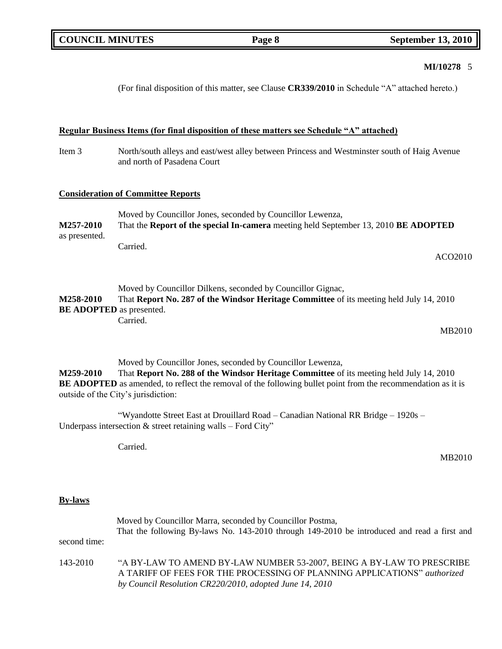# **MI/10278** 5

(For final disposition of this matter, see Clause **CR339/2010** in Schedule "A" attached hereto.)

# **Regular Business Items (for final disposition of these matters see Schedule "A" attached)**

Item 3 North/south alleys and east/west alley between Princess and Westminster south of Haig Avenue and north of Pasadena Court

# **Consideration of Committee Reports**

|               | Moved by Councillor Jones, seconded by Councillor Lewenza,                          |
|---------------|-------------------------------------------------------------------------------------|
| M257-2010     | That the Report of the special In-camera meeting held September 13, 2010 BE ADOPTED |
| as presented. |                                                                                     |
|               | Carried.                                                                            |

ACO2010

|                                 | Moved by Councillor Dilkens, seconded by Councillor Gignac,                             |
|---------------------------------|-----------------------------------------------------------------------------------------|
| M258-2010                       | That Report No. 287 of the Windsor Heritage Committee of its meeting held July 14, 2010 |
| <b>BE ADOPTED</b> as presented. |                                                                                         |
|                                 | Carried.                                                                                |

MB2010

Moved by Councillor Jones, seconded by Councillor Lewenza,

**M259-2010** That **Report No. 288 of the Windsor Heritage Committee** of its meeting held July 14, 2010 **BE ADOPTED** as amended, to reflect the removal of the following bullet point from the recommendation as it is outside of the City's jurisdiction:

"Wyandotte Street East at Drouillard Road – Canadian National RR Bridge – 1920s – Underpass intersection  $&$  street retaining walls – Ford City"

Carried.

MB2010

## **By-laws**

|              | Moved by Councillor Marra, seconded by Councillor Postma,<br>That the following By-laws No. 143-2010 through 149-2010 be introduced and read a first and                                                     |
|--------------|--------------------------------------------------------------------------------------------------------------------------------------------------------------------------------------------------------------|
| second time: |                                                                                                                                                                                                              |
| 143-2010     | "A BY-LAW TO AMEND BY-LAW NUMBER 53-2007, BEING A BY-LAW TO PRESCRIBE<br>A TARIFF OF FEES FOR THE PROCESSING OF PLANNING APPLICATIONS" authorized<br>by Council Resolution CR220/2010, adopted June 14, 2010 |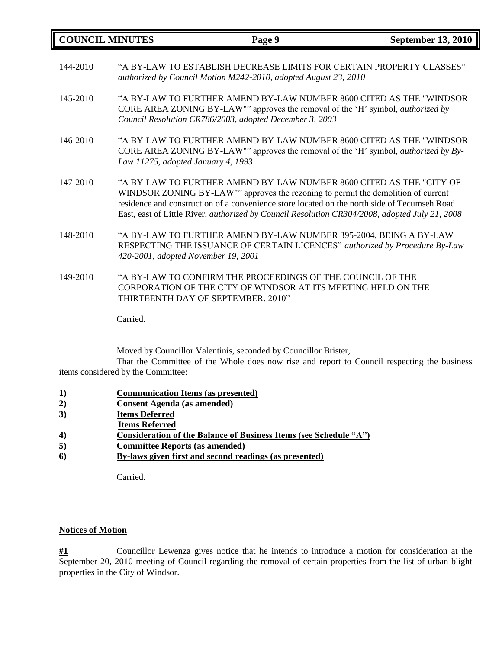| <b>COUNCIL MINUTES</b> |                                    | Page 9                                                                                                                                                                                                                                                                                                                                                     | <b>September 13, 2010</b> |
|------------------------|------------------------------------|------------------------------------------------------------------------------------------------------------------------------------------------------------------------------------------------------------------------------------------------------------------------------------------------------------------------------------------------------------|---------------------------|
| 144-2010               |                                    | "A BY-LAW TO ESTABLISH DECREASE LIMITS FOR CERTAIN PROPERTY CLASSES"<br>authorized by Council Motion M242-2010, adopted August 23, 2010                                                                                                                                                                                                                    |                           |
| 145-2010               |                                    | "A BY-LAW TO FURTHER AMEND BY-LAW NUMBER 8600 CITED AS THE "WINDSOR"<br>CORE AREA ZONING BY-LAW"" approves the removal of the 'H' symbol, <i>authorized by</i><br>Council Resolution CR786/2003, adopted December 3, 2003                                                                                                                                  |                           |
| 146-2010               | Law 11275, adopted January 4, 1993 | "A BY-LAW TO FURTHER AMEND BY-LAW NUMBER 8600 CITED AS THE "WINDSOR<br>CORE AREA ZONING BY-LAW"" approves the removal of the 'H' symbol, <i>authorized by By-</i>                                                                                                                                                                                          |                           |
| 147-2010               |                                    | "A BY-LAW TO FURTHER AMEND BY-LAW NUMBER 8600 CITED AS THE "CITY OF<br>WINDSOR ZONING BY-LAW"" approves the rezoning to permit the demolition of current<br>residence and construction of a convenience store located on the north side of Tecumseh Road<br>East, east of Little River, authorized by Council Resolution CR304/2008, adopted July 21, 2008 |                           |
| 148-2010               |                                    | "A BY-LAW TO FURTHER AMEND BY-LAW NUMBER 395-2004, BEING A BY-LAW<br>RESPECTING THE ISSUANCE OF CERTAIN LICENCES" authorized by Procedure By-Law<br>420-2001, adopted November 19, 2001                                                                                                                                                                    |                           |
| 149-2010               |                                    | "A BY-LAW TO CONFIRM THE PROCEEDINGS OF THE COUNCIL OF THE<br>CORPORATION OF THE CITY OF WINDSOR AT ITS MEETING HELD ON THE                                                                                                                                                                                                                                |                           |

Carried.

Moved by Councillor Valentinis, seconded by Councillor Brister,

That the Committee of the Whole does now rise and report to Council respecting the business items considered by the Committee:

- **1) Communication Items (as presented)**
- **2) Consent Agenda (as amended)**
- **3) Items Deferred**
- **Items Referred**
- **4) Consideration of the Balance of Business Items (see Schedule "A")**

THIRTEENTH DAY OF SEPTEMBER, 2010"

- **5) Committee Reports (as amended)**
- **6) By-laws given first and second readings (as presented)**

Carried.

# **Notices of Motion**

**#1** Councillor Lewenza gives notice that he intends to introduce a motion for consideration at the September 20, 2010 meeting of Council regarding the removal of certain properties from the list of urban blight properties in the City of Windsor.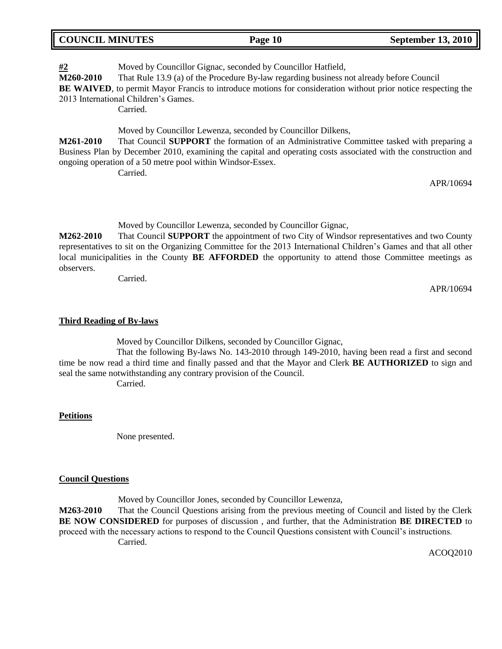| <b>COUNCIL MINUTES</b> | Page 10 | <b>September 13, 2010</b> |
|------------------------|---------|---------------------------|
|                        |         |                           |

**#2** Moved by Councillor Gignac, seconded by Councillor Hatfield, **M260-2010** That Rule 13.9 (a) of the Procedure By-law regarding business not already before Council

**BE WAIVED**, to permit Mayor Francis to introduce motions for consideration without prior notice respecting the

2013 International Children's Games.

**Carried** 

Moved by Councillor Lewenza, seconded by Councillor Dilkens,

**M261-2010** That Council **SUPPORT** the formation of an Administrative Committee tasked with preparing a Business Plan by December 2010, examining the capital and operating costs associated with the construction and ongoing operation of a 50 metre pool within Windsor-Essex.

Carried.

APR/10694

Moved by Councillor Lewenza, seconded by Councillor Gignac,

**M262-2010** That Council **SUPPORT** the appointment of two City of Windsor representatives and two County representatives to sit on the Organizing Committee for the 2013 International Children's Games and that all other local municipalities in the County **BE AFFORDED** the opportunity to attend those Committee meetings as observers.

Carried.

APR/10694

# **Third Reading of By-laws**

Moved by Councillor Dilkens, seconded by Councillor Gignac,

That the following By-laws No. 143-2010 through 149-2010, having been read a first and second time be now read a third time and finally passed and that the Mayor and Clerk **BE AUTHORIZED** to sign and seal the same notwithstanding any contrary provision of the Council.

Carried.

# **Petitions**

None presented.

# **Council Questions**

Moved by Councillor Jones, seconded by Councillor Lewenza,

**M263-2010** That the Council Questions arising from the previous meeting of Council and listed by the Clerk **BE NOW CONSIDERED** for purposes of discussion , and further, that the Administration **BE DIRECTED** to proceed with the necessary actions to respond to the Council Questions consistent with Council's instructions. Carried.

ACOQ2010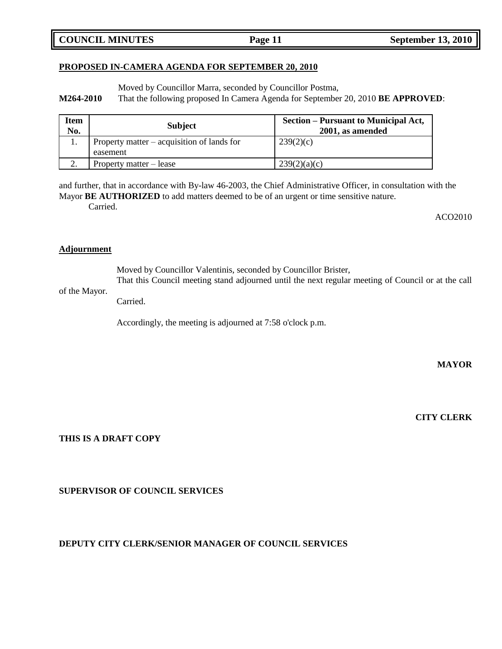**COUNCIL MINUTES Page 11 September 13, 2010** 

# **PROPOSED IN-CAMERA AGENDA FOR SEPTEMBER 20, 2010**

Moved by Councillor Marra, seconded by Councillor Postma,

**M264-2010** That the following proposed In Camera Agenda for September 20, 2010 **BE APPROVED**:

| <b>Item</b><br>No. | <b>Subject</b>                             | Section – Pursuant to Municipal Act,<br>2001, as amended |
|--------------------|--------------------------------------------|----------------------------------------------------------|
|                    | Property matter – acquisition of lands for | 239(2)(c)                                                |
|                    | easement                                   |                                                          |
|                    | Property matter – lease                    | 239(2)(a)(c)                                             |

and further, that in accordance with By-law 46-2003, the Chief Administrative Officer, in consultation with the Mayor **BE AUTHORIZED** to add matters deemed to be of an urgent or time sensitive nature.

Carried.

ACO2010

## **Adjournment**

Moved by Councillor Valentinis, seconded by Councillor Brister,

That this Council meeting stand adjourned until the next regular meeting of Council or at the call of the Mayor.

Carried.

Accordingly, the meeting is adjourned at 7:58 o'clock p.m.

**MAYOR**

**CITY CLERK**

**THIS IS A DRAFT COPY**

**SUPERVISOR OF COUNCIL SERVICES**

# **DEPUTY CITY CLERK/SENIOR MANAGER OF COUNCIL SERVICES**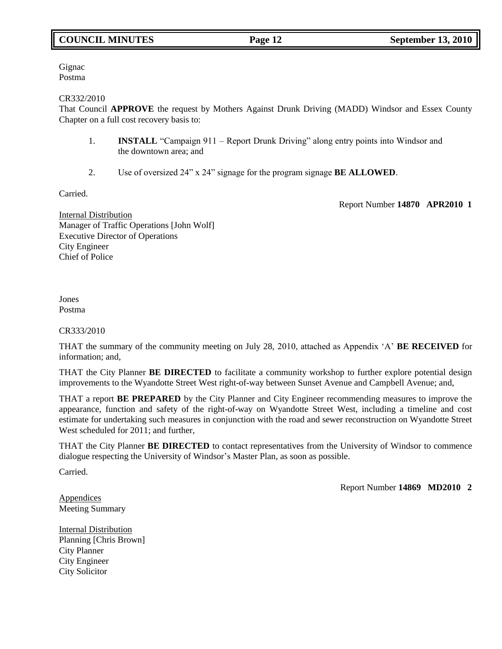# **COUNCIL MINUTES Page 12 September 13, 2010**

Gignac Postma

CR332/2010

That Council **APPROVE** the request by Mothers Against Drunk Driving (MADD) Windsor and Essex County Chapter on a full cost recovery basis to:

- 1. **INSTALL** "Campaign 911 Report Drunk Driving" along entry points into Windsor and the downtown area; and
- 2. Use of oversized 24" x 24" signage for the program signage **BE ALLOWED**.

Carried.

Report Number **14870 APR2010 1**

Internal Distribution Manager of Traffic Operations [John Wolf] Executive Director of Operations City Engineer Chief of Police

Jones Postma

CR333/2010

THAT the summary of the community meeting on July 28, 2010, attached as Appendix 'A' **BE RECEIVED** for information; and,

THAT the City Planner **BE DIRECTED** to facilitate a community workshop to further explore potential design improvements to the Wyandotte Street West right-of-way between Sunset Avenue and Campbell Avenue; and,

THAT a report **BE PREPARED** by the City Planner and City Engineer recommending measures to improve the appearance, function and safety of the right-of-way on Wyandotte Street West, including a timeline and cost estimate for undertaking such measures in conjunction with the road and sewer reconstruction on Wyandotte Street West scheduled for 2011; and further,

THAT the City Planner **BE DIRECTED** to contact representatives from the University of Windsor to commence dialogue respecting the University of Windsor's Master Plan, as soon as possible.

Carried.

Report Number **14869 MD2010 2**

**Appendices** Meeting Summary

Internal Distribution Planning [Chris Brown] City Planner City Engineer City Solicitor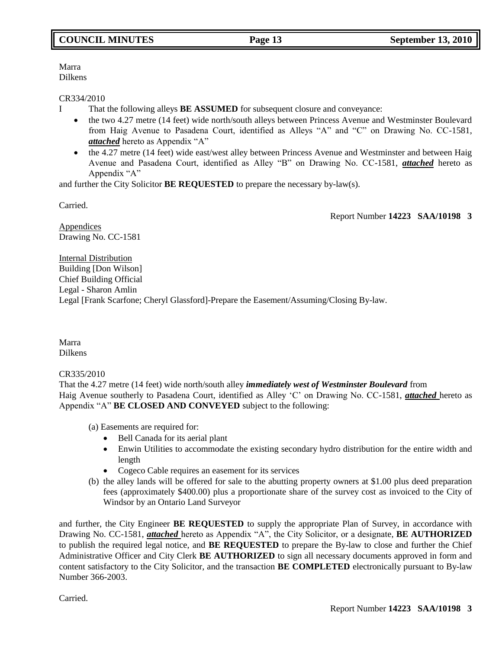Marra Dilkens

## CR334/2010

- I That the following alleys **BE ASSUMED** for subsequent closure and conveyance:
	- the two 4.27 metre (14 feet) wide north/south alleys between Princess Avenue and Westminster Boulevard from Haig Avenue to Pasadena Court, identified as Alleys "A" and "C" on Drawing No. CC-1581, *attached* hereto as Appendix "A"
	- the 4.27 metre (14 feet) wide east/west alley between Princess Avenue and Westminster and between Haig Avenue and Pasadena Court, identified as Alley "B" on Drawing No. CC-1581, *attached* hereto as Appendix "A"

and further the City Solicitor **BE REQUESTED** to prepare the necessary by-law(s).

Carried.

Report Number **14223 SAA/10198 3**

Appendices Drawing No. CC-1581

Internal Distribution Building [Don Wilson] Chief Building Official Legal - Sharon Amlin Legal [Frank Scarfone; Cheryl Glassford]-Prepare the Easement/Assuming/Closing By-law.

Marra Dilkens

CR335/2010

That the 4.27 metre (14 feet) wide north/south alley *immediately west of Westminster Boulevard* from Haig Avenue southerly to Pasadena Court, identified as Alley 'C' on Drawing No. CC-1581, *attached* hereto as Appendix "A" **BE CLOSED AND CONVEYED** subject to the following:

(a) Easements are required for:

- Bell Canada for its aerial plant
- Enwin Utilities to accommodate the existing secondary hydro distribution for the entire width and length
- Cogeco Cable requires an easement for its services
- (b) the alley lands will be offered for sale to the abutting property owners at \$1.00 plus deed preparation fees (approximately \$400.00) plus a proportionate share of the survey cost as invoiced to the City of Windsor by an Ontario Land Surveyor

and further, the City Engineer **BE REQUESTED** to supply the appropriate Plan of Survey, in accordance with Drawing No. CC-1581, *attached* hereto as Appendix "A", the City Solicitor, or a designate, **BE AUTHORIZED**  to publish the required legal notice, and **BE REQUESTED** to prepare the By-law to close and further the Chief Administrative Officer and City Clerk **BE AUTHORIZED** to sign all necessary documents approved in form and content satisfactory to the City Solicitor, and the transaction **BE COMPLETED** electronically pursuant to By-law Number 366-2003.

Carried.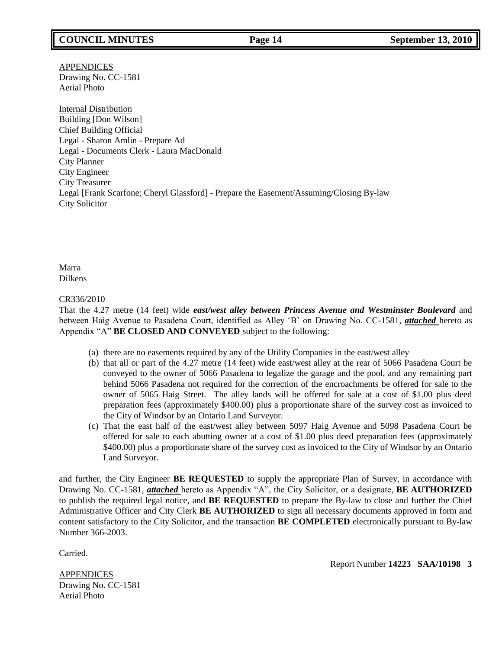APPENDICES Drawing No. CC-1581 Aerial Photo

Internal Distribution Building [Don Wilson] Chief Building Official Legal - Sharon Amlin - Prepare Ad Legal - Documents Clerk - Laura MacDonald City Planner City Engineer City Treasurer Legal [Frank Scarfone; Cheryl Glassford] - Prepare the Easement/Assuming/Closing By-law City Solicitor

Marra Dilkens

CR336/2010

That the 4.27 metre (14 feet) wide *east/west alley between Princess Avenue and Westminster Boulevard* and between Haig Avenue to Pasadena Court, identified as Alley 'B' on Drawing No. CC-1581, *attached* hereto as Appendix "A" **BE CLOSED AND CONVEYED** subject to the following:

- (a) there are no easements required by any of the Utility Companies in the east/west alley
- (b) that all or part of the 4.27 metre (14 feet) wide east/west alley at the rear of 5066 Pasadena Court be conveyed to the owner of 5066 Pasadena to legalize the garage and the pool, and any remaining part behind 5066 Pasadena not required for the correction of the encroachments be offered for sale to the owner of 5065 Haig Street. The alley lands will be offered for sale at a cost of \$1.00 plus deed preparation fees (approximately \$400.00) plus a proportionate share of the survey cost as invoiced to the City of Windsor by an Ontario Land Surveyor.
- (c) That the east half of the east/west alley between 5097 Haig Avenue and 5098 Pasadena Court be offered for sale to each abutting owner at a cost of \$1.00 plus deed preparation fees (approximately \$400.00) plus a proportionate share of the survey cost as invoiced to the City of Windsor by an Ontario Land Surveyor.

and further, the City Engineer **BE REQUESTED** to supply the appropriate Plan of Survey, in accordance with Drawing No. CC-1581, *attached* hereto as Appendix "A", the City Solicitor, or a designate, **BE AUTHORIZED**  to publish the required legal notice, and **BE REQUESTED** to prepare the By-law to close and further the Chief Administrative Officer and City Clerk **BE AUTHORIZED** to sign all necessary documents approved in form and content satisfactory to the City Solicitor, and the transaction **BE COMPLETED** electronically pursuant to By-law Number 366-2003.

Carried.

Report Number **14223 SAA/10198 3**

APPENDICES Drawing No. CC-1581 Aerial Photo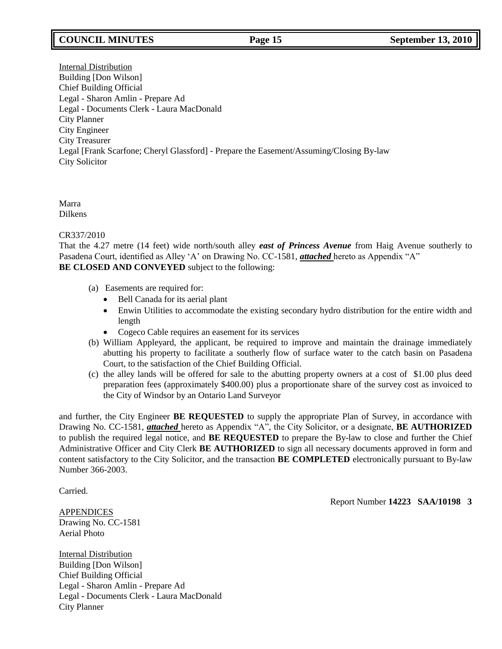# **COUNCIL MINUTES Page 15 September 13, 2010**

Internal Distribution Building [Don Wilson] Chief Building Official Legal - Sharon Amlin - Prepare Ad Legal - Documents Clerk - Laura MacDonald City Planner City Engineer City Treasurer Legal [Frank Scarfone; Cheryl Glassford] - Prepare the Easement/Assuming/Closing By-law City Solicitor

Marra Dilkens

# CR337/2010

That the 4.27 metre (14 feet) wide north/south alley *east of Princess Avenue* from Haig Avenue southerly to Pasadena Court, identified as Alley 'A' on Drawing No. CC-1581, *attached* hereto as Appendix "A" **BE CLOSED AND CONVEYED** subject to the following:

- (a) Easements are required for:
	- Bell Canada for its aerial plant
	- Enwin Utilities to accommodate the existing secondary hydro distribution for the entire width and length
	- Cogeco Cable requires an easement for its services
- (b) William Appleyard, the applicant, be required to improve and maintain the drainage immediately abutting his property to facilitate a southerly flow of surface water to the catch basin on Pasadena Court, to the satisfaction of the Chief Building Official.
- (c) the alley lands will be offered for sale to the abutting property owners at a cost of \$1.00 plus deed preparation fees (approximately \$400.00) plus a proportionate share of the survey cost as invoiced to the City of Windsor by an Ontario Land Surveyor

and further, the City Engineer **BE REQUESTED** to supply the appropriate Plan of Survey, in accordance with Drawing No. CC-1581, *attached* hereto as Appendix "A", the City Solicitor, or a designate, **BE AUTHORIZED**  to publish the required legal notice, and **BE REQUESTED** to prepare the By-law to close and further the Chief Administrative Officer and City Clerk **BE AUTHORIZED** to sign all necessary documents approved in form and content satisfactory to the City Solicitor, and the transaction **BE COMPLETED** electronically pursuant to By-law Number 366-2003.

Carried.

Report Number **14223 SAA/10198 3**

APPENDICES Drawing No. CC-1581 Aerial Photo

Internal Distribution Building [Don Wilson] Chief Building Official Legal - Sharon Amlin - Prepare Ad Legal - Documents Clerk - Laura MacDonald City Planner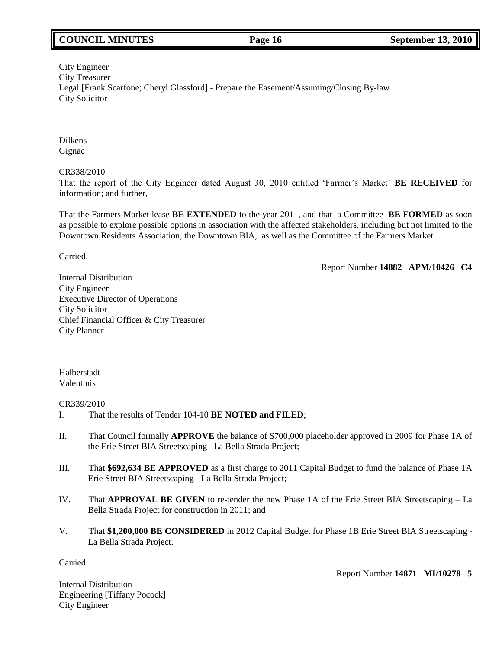# **COUNCIL MINUTES Page 16 September 13, 2010**

# City Engineer City Treasurer Legal [Frank Scarfone; Cheryl Glassford] - Prepare the Easement/Assuming/Closing By-law City Solicitor

Dilkens Gignac

## CR338/2010

That the report of the City Engineer dated August 30, 2010 entitled 'Farmer's Market' **BE RECEIVED** for information; and further,

That the Farmers Market lease **BE EXTENDED** to the year 2011, and that a Committee **BE FORMED** as soon as possible to explore possible options in association with the affected stakeholders, including but not limited to the Downtown Residents Association, the Downtown BIA, as well as the Committee of the Farmers Market.

Carried.

Report Number **14882 APM/10426 C4**

Internal Distribution City Engineer Executive Director of Operations City Solicitor Chief Financial Officer & City Treasurer City Planner

Halberstadt Valentinis

CR339/2010

- I. That the results of Tender 104-10 **BE NOTED and FILED**;
- II. That Council formally **APPROVE** the balance of \$700,000 placeholder approved in 2009 for Phase 1A of the Erie Street BIA Streetscaping –La Bella Strada Project;
- III. That **\$692,634 BE APPROVED** as a first charge to 2011 Capital Budget to fund the balance of Phase 1A Erie Street BIA Streetscaping - La Bella Strada Project;
- IV. That **APPROVAL BE GIVEN** to re-tender the new Phase 1A of the Erie Street BIA Streetscaping La Bella Strada Project for construction in 2011; and
- V. That **\$1,200,000 BE CONSIDERED** in 2012 Capital Budget for Phase 1B Erie Street BIA Streetscaping La Bella Strada Project.

Carried.

Report Number **14871 MI/10278 5**

Internal Distribution Engineering [Tiffany Pocock] City Engineer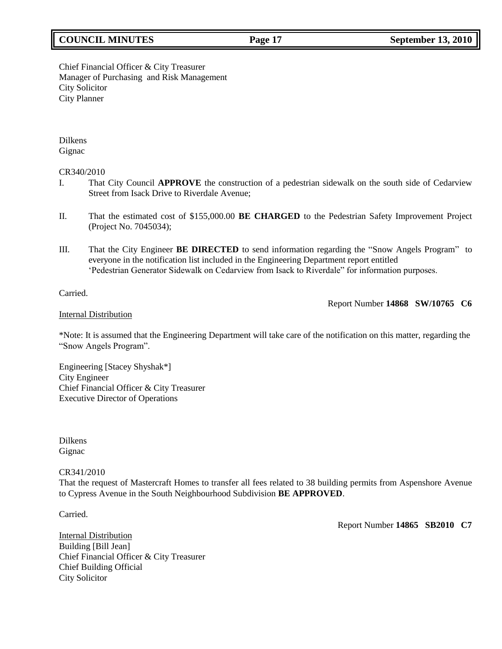# **COUNCIL MINUTES Page 17 September 13, 2010**

Chief Financial Officer & City Treasurer Manager of Purchasing and Risk Management City Solicitor City Planner

Dilkens Gignac

#### CR340/2010

- I. That City Council **APPROVE** the construction of a pedestrian sidewalk on the south side of Cedarview Street from Isack Drive to Riverdale Avenue;
- II. That the estimated cost of \$155,000.00 **BE CHARGED** to the Pedestrian Safety Improvement Project (Project No. 7045034);
- III. That the City Engineer **BE DIRECTED** to send information regarding the "Snow Angels Program" to everyone in the notification list included in the Engineering Department report entitled 'Pedestrian Generator Sidewalk on Cedarview from Isack to Riverdale" for information purposes.

## Carried.

Report Number **14868 SW/10765 C6**

#### Internal Distribution

\*Note: It is assumed that the Engineering Department will take care of the notification on this matter, regarding the "Snow Angels Program".

Engineering [Stacey Shyshak\*] City Engineer Chief Financial Officer & City Treasurer Executive Director of Operations

Dilkens Gignac

#### CR341/2010

That the request of Mastercraft Homes to transfer all fees related to 38 building permits from Aspenshore Avenue to Cypress Avenue in the South Neighbourhood Subdivision **BE APPROVED**.

Carried.

Report Number **14865 SB2010 C7**

Internal Distribution Building [Bill Jean] Chief Financial Officer & City Treasurer Chief Building Official City Solicitor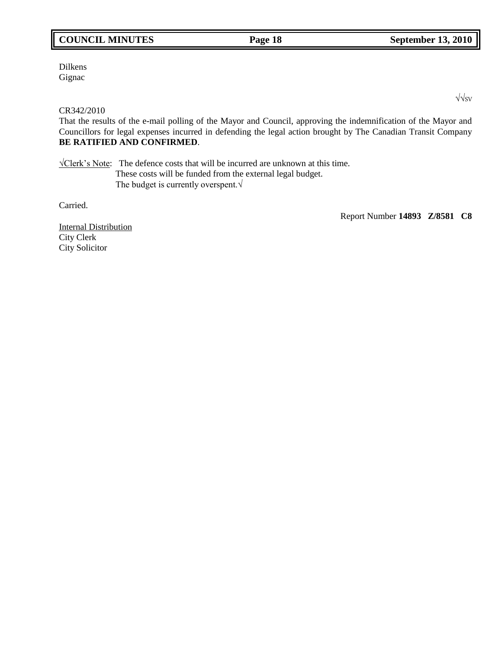# **COUNCIL MINUTES Page 18 September 13, 2010**

Dilkens **Gignac** 

# CR342/2010

That the results of the e-mail polling of the Mayor and Council, approving the indemnification of the Mayor and Councillors for legal expenses incurred in defending the legal action brought by The Canadian Transit Company **BE RATIFIED AND CONFIRMED**.

√Clerk's Note: The defence costs that will be incurred are unknown at this time. These costs will be funded from the external legal budget. The budget is currently overspent.√

Carried.

Report Number **14893 Z/8581 C8**

Internal Distribution City Clerk City Solicitor

√√SV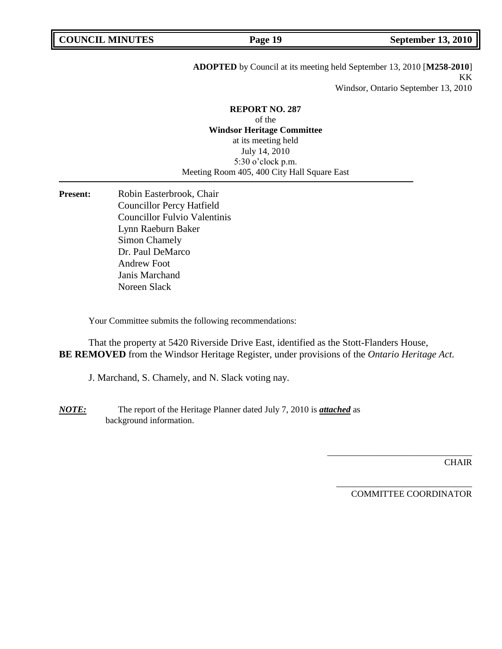# **ADOPTED** by Council at its meeting held September 13, 2010 [**M258-2010**] KK

Windsor, Ontario September 13, 2010

**REPORT NO. 287** of the **Windsor Heritage Committee** at its meeting held July 14, 2010 5:30 o'clock p.m. Meeting Room 405, 400 City Hall Square East

Present: Robin Easterbrook, Chair Councillor Percy Hatfield Councillor Fulvio Valentinis Lynn Raeburn Baker Simon Chamely Dr. Paul DeMarco Andrew Foot Janis Marchand Noreen Slack

Your Committee submits the following recommendations:

That the property at 5420 Riverside Drive East, identified as the Stott-Flanders House, **BE REMOVED** from the Windsor Heritage Register, under provisions of the *Ontario Heritage Act.*

J. Marchand, S. Chamely, and N. Slack voting nay.

*NOTE:* The report of the Heritage Planner dated July 7, 2010 is *attached* as background information.

**CHAIR** 

COMMITTEE COORDINATOR

\_\_\_\_\_\_\_\_\_\_\_\_\_\_\_\_\_\_\_\_\_\_\_\_\_\_\_\_\_\_

\_\_\_\_\_\_\_\_\_\_\_\_\_\_\_\_\_\_\_\_\_\_\_\_\_\_\_\_\_\_\_\_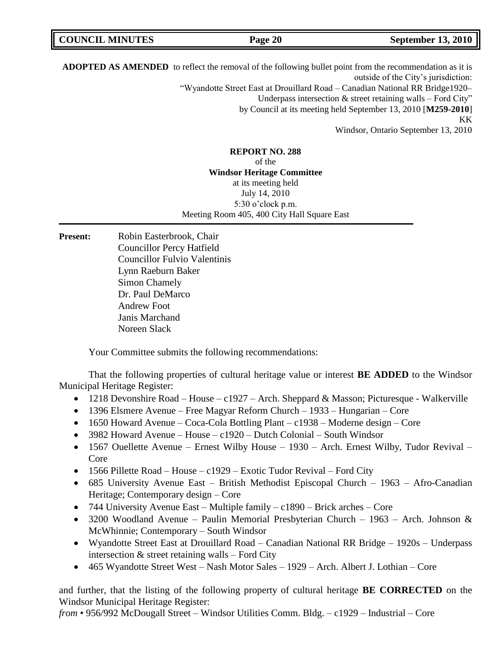| <b>COUNCIL MINUTES</b> | Page 20 | <b>September 13, 2010</b> |
|------------------------|---------|---------------------------|
|                        |         |                           |

**ADOPTED AS AMENDED** to reflect the removal of the following bullet point from the recommendation as it is outside of the City's jurisdiction: "Wyandotte Street East at Drouillard Road – Canadian National RR Bridge1920– Underpass intersection  $\&$  street retaining walls – Ford City" by Council at its meeting held September 13, 2010 [**M259-2010**] KK Windsor, Ontario September 13, 2010

# **REPORT NO. 288** of the **Windsor Heritage Committee** at its meeting held July 14, 2010 5:30 o'clock p.m. Meeting Room 405, 400 City Hall Square East

Present: Robin Easterbrook, Chair Councillor Percy Hatfield Councillor Fulvio Valentinis Lynn Raeburn Baker Simon Chamely Dr. Paul DeMarco Andrew Foot Janis Marchand Noreen Slack

Your Committee submits the following recommendations:

That the following properties of cultural heritage value or interest **BE ADDED** to the Windsor Municipal Heritage Register:

- 1218 Devonshire Road House c1927 Arch. Sheppard & Masson; Picturesque Walkerville
- 1396 Elsmere Avenue Free Magyar Reform Church 1933 Hungarian Core
- $\bullet$  1650 Howard Avenue Coca-Cola Bottling Plant c1938 Moderne design Core
- $\bullet$  3982 Howard Avenue House c1920 Dutch Colonial South Windsor
- 1567 Ouellette Avenue Ernest Wilby House 1930 Arch. Ernest Wilby, Tudor Revival Core
- $\bullet$  1566 Pillette Road House c1929 Exotic Tudor Revival Ford City
- 685 University Avenue East British Methodist Episcopal Church 1963 Afro-Canadian Heritage; Contemporary design – Core
- 744 University Avenue East Multiple family c1890 Brick arches Core
- 3200 Woodland Avenue Paulin Memorial Presbyterian Church 1963 Arch. Johnson & McWhinnie; Contemporary – South Windsor
- Wyandotte Street East at Drouillard Road Canadian National RR Bridge 1920s Underpass intersection & street retaining walls – Ford City
- 465 Wyandotte Street West Nash Motor Sales 1929 Arch. Albert J. Lothian Core

and further, that the listing of the following property of cultural heritage **BE CORRECTED** on the Windsor Municipal Heritage Register:

*from* • 956/992 McDougall Street – Windsor Utilities Comm. Bldg. – c1929 – Industrial – Core